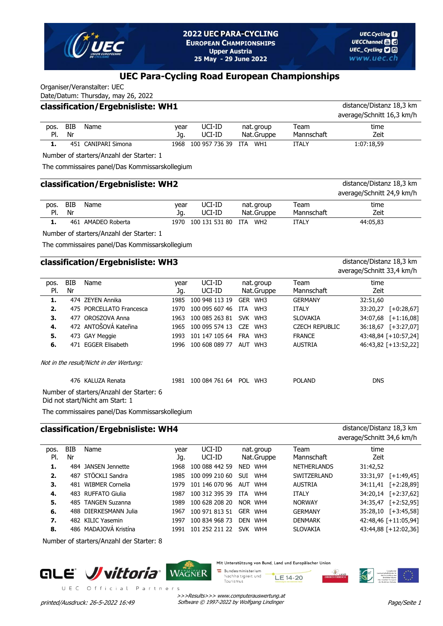

## **UEC Para-Cycling Road European Championships**

Organiser/Veranstalter: UEC

|      | Date/Datum: Thursday, may 26, 2022 |                                   |       |                    |            |            |                           |  |  |  |  |  |  |  |
|------|------------------------------------|-----------------------------------|-------|--------------------|------------|------------|---------------------------|--|--|--|--|--|--|--|
|      |                                    | classification/Ergebnisliste: WH1 |       |                    |            |            | distance/Distanz 18,3 km  |  |  |  |  |  |  |  |
|      |                                    |                                   |       |                    |            |            | average/Schnitt 16,3 km/h |  |  |  |  |  |  |  |
| DOS. | BIB                                | Name                              | vear  | UCI-ID             | nat.group  | Team       | time                      |  |  |  |  |  |  |  |
| PI.  | Nr                                 |                                   | Ja.   | UCI-ID             | Nat.Gruppe | Mannschaft | Zeit                      |  |  |  |  |  |  |  |
|      |                                    | 451 CANIPARI Simona               | 1968. | 100 957 736 39 ITA | WH1        | ITALY      | 1:07:18,59                |  |  |  |  |  |  |  |

Number of starters/Anzahl der Starter: 1

The commissaires panel/Das Kommissarskollegium

#### **classification/Ergebnisliste: WH2** distance/Distanz 18,3 km average/Schnitt 24,9 km/h BIB Nr Name mention of the vear UCI-ID nat.group Team Mannschaft year Jg. Nat. Gruppe time Zeit pos. Pl. UCI-ID UCI-ID **1.** 461 AMADEO Roberta 1970 100 131 531 80 ITA WH2 ITALY 44:05,83

Number of starters/Anzahl der Starter: 1

The commissaires panel/Das Kommissarskollegium

### **classification/Ergebnisliste: WH3** distance/Distanz 18,3 km

#### BIB Nr Name mention of the vear UCI-ID nat.group Team Mannschaft year Jg. Nat. Gruppe time Zeit pos. Pl. UCI-ID UCI-ID **1.** 474 ZEYEN Annika 1985 100 948 113 19 GER WH3 GERMANY 32:51,60 **2.** 475 PORCELLATO Francesca 1970 100 095 607 46 ITA WH3 ITALY 33:20,27 [+0:28,67] **3.** 477 OROSZOVA Anna 1963 100 085 263 81 SVK WH3 SLOVAKIA 34:07,68 [+1:16,08] **4.** 472 ANTOŠOVÁ Kateřina 1965 100 095 574 13 CZE WH3 CZECH REPUBLIC 36:18,67 [+3:27,07] **5.** 473 GAY Meggie 1993 101 147 105 64 FRA WH3 FRANCE 43:48,84 [+10:57,24] **6.** 471 EGGER Elisabeth 1996 100 608 089 77 AUT WH3 AUSTRIA 46:43,82 [+13:52,22] Not in the result/Nicht in der Wertung: 476 KALUZA Renata 1981 100 084 761 64 POL WH3 POLAND DNS

Number of starters/Anzahl der Starter: 6

Did not start/Nicht am Start: 1

The commissaires panel/Das Kommissarskollegium

# **classification/Ergebnisliste: WH4** distance/Distanz 18,3 km

average/Schnitt 34,6 km/h

average/Schnitt 33,4 km/h

| pos. | <b>BIB</b> | Name                  | vear | UCI-ID         | nat.group         | Team               | time     |                      |
|------|------------|-----------------------|------|----------------|-------------------|--------------------|----------|----------------------|
| PI.  | Nr         |                       | Jq.  | UCI-ID         | Nat.Gruppe        | Mannschaft         | Zeit     |                      |
| 1.   |            | 484 JANSEN Jennette   | 1968 | 100 088 442 59 | <b>NED</b><br>WH4 | <b>NETHERLANDS</b> | 31:42,52 |                      |
| 2.   |            | 487 STÖCKLI Sandra    | 1985 | 100 099 210 60 | WH4<br><b>SUI</b> | SWITZERLAND        | 33:31,97 | $[-1:49, 45]$        |
| 3.   | 481        | WIBMER Cornelia       | 1979 | 101 146 070 96 | WH4<br>AUT        | <b>AUSTRIA</b>     | 34:11,41 | $[-2:28,89]$         |
| 4.   |            | 483 RUFFATO Giulia    | 1987 | 100 312 395 39 | WH4<br><b>ITA</b> | <b>ITALY</b>       | 34:20,14 | $[-2:37,62]$         |
| 5.   |            | 485 TANGEN Suzanna    | 1989 | 100 628 208 20 | NOR WH4           | <b>NORWAY</b>      | 34:35,47 | $[-2:52,95]$         |
| 6.   |            | 488 DIERKESMANN Julia | 1967 | 100 971 813 51 | WH4<br><b>GFR</b> | <b>GERMANY</b>     | 35:28,10 | $[-13:45,58]$        |
| 7.   |            | 482 KILIC Yasemin     | 1997 | 100 834 968 73 | WH4<br><b>DFN</b> | <b>DENMARK</b>     |          | 42:48,46 [+11:05,94] |
| 8.   |            | 486 MADAJOVÁ Kristína | 1991 | 101 252 211 22 | SVK.<br>WH4       | <b>SLOVAKIA</b>    |          | 43:44,88 [+12:02,36] |
|      |            |                       |      |                |                   |                    |          |                      |

Number of starters/Anzahl der Starter: 8





Mit Unterstützung von Bund, Land und Europäischer Unior

**Bundesministerium** Nachhaltigkeit und LE 14-20 Tourismus



>>>Results>>> www.computerauswertung.at printed/Ausdruck: 26-5-2022 16:49 Software © 1997-2022 by Wolfgang Lindinger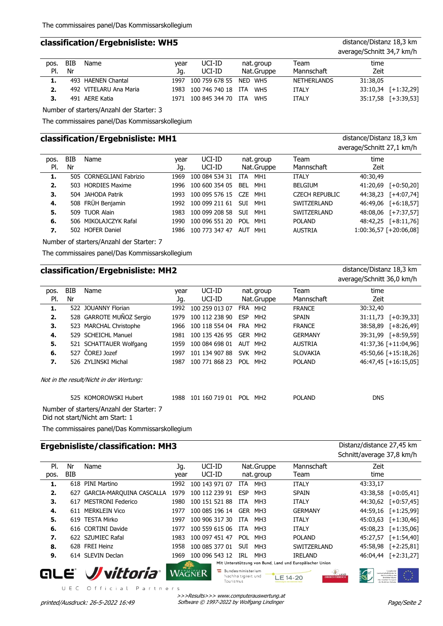#### **classification/Ergebnisliste: WH5** distance/Distanz 18,3 km

|      |     |                        |      |                             |            |                    | average/Schnitt 34,7 km/h |                     |
|------|-----|------------------------|------|-----------------------------|------------|--------------------|---------------------------|---------------------|
| pos. | BIB | Name                   | vear | UCI-ID                      | nat.group  | Team               | time                      |                     |
| PI.  | Nr  |                        | Jq.  | UCI-ID                      | Nat.Gruppe | Mannschaft         | Zeit                      |                     |
| 1.   |     | 493 HAENEN Chantal     |      | 1997 100 759 678 55 NED WH5 |            | <b>NETHERLANDS</b> | 31:38.05                  |                     |
| 2.   |     | 492 VITELARU Ana Maria |      | 1983 100 746 740 18 ITA     | WH5        | <b>ITALY</b>       |                           | 33:10,34 [+1:32,29] |
|      |     | 491 AERE Katia         |      | 1971 100 845 344 70 ITA     | WH5        | <b>ITALY</b>       |                           | 35:17,58 [+3:39,53] |
|      |     |                        |      |                             |            |                    |                           |                     |

Number of starters/Anzahl der Starter: 3

The commissaires panel/Das Kommissarskollegium

### **classification/Ergebnisliste: MH1** distance/Distanz 18,3 km

|      |     |                          |      |                |            |                 |                       | average/Schnitt 27,1 km/h |               |
|------|-----|--------------------------|------|----------------|------------|-----------------|-----------------------|---------------------------|---------------|
| pos. | BIB | Name                     | vear | UCI-ID         |            | nat. group      | Team                  | time                      |               |
| PI.  | Nr  |                          | Jq.  | UCI-ID         |            | Nat.Gruppe      | Mannschaft            | Zeit                      |               |
|      |     | 505 CORNEGLIANI Fabrizio | 1969 | 100 084 534 31 | ITA.       | MH <sub>1</sub> | <b>ITALY</b>          | 40:30,49                  |               |
| 2.   |     | 503 HORDIES Maxime       | 1996 | 100 600 354 05 | BEL        | MH1             | <b>BELGIUM</b>        | 41:20,69                  | $[-10:50,20]$ |
| 3.   |     | 504 JAHODA Patrik        | 1993 | 100 095 576 15 | CZE.       | MH1             | <b>CZECH REPUBLIC</b> | 44:38,23                  | $[-4:07,74]$  |
| 4.   |     | 508 FRÜH Benjamin        | 1992 | 100 099 211 61 | <b>SUI</b> | MH1             | SWITZERLAND           | 46:49,06                  | $[+6:18,57]$  |
| 5.   |     | 509 TUOR Alain           | 1983 | 100 099 208 58 | <b>SUI</b> | MH1             | SWITZERLAND           | 48:08,06                  | $[-7:37,57]$  |
| 6.   |     | 506 MIKOLAJCZYK Rafal    | 1990 | 100 096 551 20 |            | POL MH1         | <b>POLAND</b>         | 48:42,25                  | $[-8:11,76]$  |
| 7.   |     | 502 HOFER Daniel         | 1986 | 100 773 347 47 | AUT MH1    |                 | <b>AUSTRIA</b>        | 1:00:36,57 [+20:06,08]    |               |
|      |     |                          |      |                |            |                 |                       |                           |               |

Number of starters/Anzahl der Starter: 7

The commissaires panel/Das Kommissarskollegium

# **classification/Ergebnisliste: MH2** distance/Distanz 18,3 km

average/Schnitt 36,0 km/h

| pos. | BIB | Name                                                                           | vear | UCI-ID         | nat.group                     | Team            | time                      |
|------|-----|--------------------------------------------------------------------------------|------|----------------|-------------------------------|-----------------|---------------------------|
| PI.  | Nr  |                                                                                | Jg.  | UCI-ID         | Nat.Gruppe                    | Mannschaft      | Zeit                      |
| 1.   |     | 522 JOUANNY Florian                                                            | 1992 | 100 259 013 07 | FRA MH <sub>2</sub>           | <b>FRANCE</b>   | 30:32,40                  |
| 2.   |     | 528 GARROTE MUÑOZ Sergio                                                       | 1979 | 100 112 238 90 | <b>ESP</b><br>MH <sub>2</sub> | <b>SPAIN</b>    | 31:11,73<br>$[-10:39,33]$ |
| 3.   |     | 523 MARCHAL Christophe                                                         | 1966 | 100 118 554 04 | FRA MH <sub>2</sub>           | <b>FRANCE</b>   | 38:58,89<br>$[-8:26,49]$  |
| 4.   |     | 529 SCHEICHL Manuel                                                            | 1981 | 100 135 426 95 | GER MH2                       | <b>GERMANY</b>  | 39:31,99<br>$[-8:59,59]$  |
| 5.   |     | 521 SCHATTAUER Wolfgang                                                        | 1959 | 100 084 698 01 | AUT MH <sub>2</sub>           | <b>AUSTRIA</b>  | 41:37,36 [+11:04,96]      |
| 6.   |     | 527 ČOREJ Jozef                                                                | 1997 | 101 134 907 88 | SVK MH <sub>2</sub>           | <b>SLOVAKIA</b> | 45:50,66 [+15:18,26]      |
| 7.   |     | 526 ZYLINSKI Michal                                                            | 1987 | 100 771 868 23 | POL MH <sub>2</sub>           | <b>POLAND</b>   | 46:47,45 [+16:15,05]      |
|      |     | Not in the result/Nicht in der Wertung:                                        |      |                |                               |                 |                           |
|      |     | 525 KOMOROWSKI Hubert                                                          | 1988 | 101 160 719 01 | <b>POL</b><br>MH <sub>2</sub> | <b>POLAND</b>   | <b>DNS</b>                |
|      |     | Number of starters/Anzahl der Starter: 7<br>Did sat ataut (Nialat ass Ctaut) 1 |      |                |                               |                 |                           |

Did not start/Nicht am Start: 1

The commissaires panel/Das Kommissarskollegium

# **Ergebnisliste/classification: MH3** Distanz/distance 27,45 km

Schnitt/average 37,8 km/h

|      |     |                          |      |                          |                                        |                 |                                                         | 55                                                      |               |
|------|-----|--------------------------|------|--------------------------|----------------------------------------|-----------------|---------------------------------------------------------|---------------------------------------------------------|---------------|
| PI.  | Nr  | Name                     | Jg.  | UCI-ID                   |                                        | Nat.Gruppe      | Mannschaft                                              | Zeit                                                    |               |
| pos. | BIB |                          | year | UCI-ID                   |                                        | nat.group       | Team                                                    | time                                                    |               |
| 1.   | 618 | PINI Martino             | 1992 | 100 143 971 07           | <b>ITA</b>                             | MH3             | <b>ITALY</b>                                            | 43:33,17                                                |               |
| 2.   | 627 | GARCIA-MARQUINA CASCALLA | 1979 | 100 112 239 91           | <b>ESP</b>                             | MH <sub>3</sub> | <b>SPAIN</b>                                            | 43:38,58                                                | $[-10:05,41]$ |
| 3.   | 617 | <b>MESTRONI Federico</b> | 1980 | 100 151 521 88           | <b>ITA</b>                             | MH <sub>3</sub> | <b>ITALY</b>                                            | 44:30,62                                                | $[-10:57,45]$ |
| 4.   |     | 611 MERKLEIN Vico        | 1977 | 100 085 196 14           | <b>GER</b>                             | MH3             | <b>GERMANY</b>                                          | 44:59,16                                                | $[-1:25,99]$  |
| 5.   |     | 619 TESTA Mirko          | 1997 | 100 906 317 30           | <b>ITA</b>                             | MH3             | <b>ITALY</b>                                            | 45:03,63                                                | $[-1:30,46]$  |
| 6.   |     | 616 CORTINI Davide       | 1977 | 100 559 615 06           | <b>ITA</b>                             | MH <sub>3</sub> | <b>ITALY</b>                                            | 45:08,23                                                | $[-1:35,06]$  |
| 7.   |     | 622 SZUMIEC Rafal        | 1983 | 100 097 451 47           | <b>POL</b>                             | MH3             | <b>POLAND</b>                                           | 45:27,57                                                | $[-1:54,40]$  |
| 8.   |     | 628 FREI Heinz           | 1958 | 100 085 377 01           | <b>SUI</b>                             | MH <sub>3</sub> | SWITZERLAND                                             | 45:58,98                                                | $[-2:25,81]$  |
| 9.   |     | 614 SLEVIN Declan        | 1969 | 100 096 543 12           | IRL                                    | MH3             | <b>IRELAND</b>                                          | 46:04.44                                                | $[-2:31,27]$  |
|      |     |                          |      |                          |                                        |                 | Mit Unterstützung von Bund, Land und Europäischer Union |                                                         |               |
| ЫI   |     |                          |      | <b>Bundesministerium</b> | Mile and the anti-transfer and and the |                 |                                                         | $\mathcal{L}_{\text{LAND}}$<br>Landwirtschaftsfonds für |               |

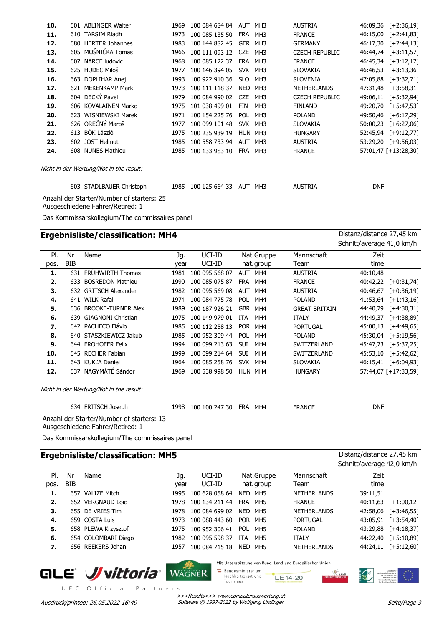| 10. | 601 ABLINGER Walter                                                           | 1969 | 100 084 684 84 | <b>AUT</b> | MH3             | <b>AUSTRIA</b>        | 46:09,36   | $[-2:36,19]$         |
|-----|-------------------------------------------------------------------------------|------|----------------|------------|-----------------|-----------------------|------------|----------------------|
| 11. | 610 TARSIM Riadh                                                              | 1973 | 100 085 135 50 | FRA        | MH3             | <b>FRANCE</b>         | 46:15,00   | $[-2:41,83]$         |
| 12. | 680 HERTER Johannes                                                           | 1983 | 100 144 882 45 |            | GER MH3         | <b>GERMANY</b>        | 46:17,30   | $[-2:44,13]$         |
| 13. | 605 MOŠNIČKA Tomas                                                            | 1966 | 100 111 093 12 | <b>CZE</b> | MH3             | <b>CZECH REPUBLIC</b> |            | 46:44,74 [+3:11,57]  |
| 14. | 607 NARCE ludovic                                                             | 1968 | 100 085 122 37 |            | FRA MH3         | <b>FRANCE</b>         |            | 46:45,34 [+3:12,17]  |
| 15. | 625 HUDEC Miloš                                                               | 1977 | 100 146 394 05 |            | SVK MH3         | <b>SLOVAKIA</b>       | 46:46,53   | $[-3:13,36]$         |
| 16. | 663 DOPLIHAR Anej                                                             | 1993 | 100 922 910 36 | <b>SLO</b> | MH <sub>3</sub> | <b>SLOVENIA</b>       |            | 47:05,88 [+3:32,71]  |
| 17. | 621 MEKENKAMP Mark                                                            | 1973 | 100 111 118 37 | <b>NED</b> | MH3             | <b>NETHERLANDS</b>    | 47:31,48   | $[-13:58,31]$        |
| 18. | 604 DECKÝ Pavel                                                               | 1979 | 100 084 990 02 | <b>CZE</b> | MH <sub>3</sub> | <b>CZECH REPUBLIC</b> | 49:06,11   | $[-5:32,94]$         |
| 19. | 606 KOVALAINEN Marko                                                          | 1975 | 101 038 499 01 | FIN        | MH <sub>3</sub> | <b>FINLAND</b>        |            | 49:20,70 [+5:47,53]  |
| 20. | 623 WISNIEWSKI Marek                                                          | 1971 | 100 154 225 76 | <b>POL</b> | MH3             | <b>POLAND</b>         | 49:50,46   | $[-6:17,29]$         |
| 21. | 626 OREČNÝ Maroš                                                              | 1977 | 100 099 101 48 |            | SVK MH3         | <b>SLOVAKIA</b>       | 50:00,23   | $[-6:27,06]$         |
| 22. | 613 BÓK László                                                                | 1975 | 100 235 939 19 |            | HUN MH3         | <b>HUNGARY</b>        |            | 52:45,94 [+9:12,77]  |
| 23. | 602 JOST Helmut                                                               | 1985 | 100 558 733 94 |            | AUT MH3         | <b>AUSTRIA</b>        |            | 53:29,20 [+9:56,03]  |
| 24. | 608 NUNES Mathieu                                                             | 1985 | 100 133 983 10 |            | FRA MH3         | <b>FRANCE</b>         |            | 57:01,47 [+13:28,30] |
|     | Nicht in der Wertung/Not in the result:                                       |      |                |            |                 |                       |            |                      |
|     | 603 STADLBAUER Christoph                                                      | 1985 | 100 125 664 33 | AUT MH3    |                 | <b>AUSTRIA</b>        | <b>DNF</b> |                      |
|     | Anzahl der Starter/Number of starters: 25<br>Ausgeschiedene Fahrer/Retired: 1 |      |                |            |                 |                       |            |                      |
|     | Das Kommissarskollegium/The commissaires panel                                |      |                |            |                 |                       |            |                      |

# **Ergebnisliste/classification: MH4** Distanz/distance 27,45 km

Schnitt/average 41,0 km/h

| PI.  | Nr         | Name                                      | Jg.  | UCI-ID         |            | Nat.Gruppe | Mannschaft           | Zeit       |                      |
|------|------------|-------------------------------------------|------|----------------|------------|------------|----------------------|------------|----------------------|
| pos. | <b>BIB</b> |                                           | year | UCI-ID         |            | nat.group  | Team                 | time       |                      |
| 1.   | 631        | <b>FRÜHWIRTH Thomas</b>                   | 1981 | 100 095 568 07 |            | AUT MH4    | <b>AUSTRIA</b>       | 40:10,48   |                      |
| 2.   | 633        | <b>BOSREDON Mathieu</b>                   | 1990 | 100 085 075 87 | <b>FRA</b> | MH4        | <b>FRANCE</b>        | 40:42,22   | $[-10:31,74]$        |
| З.   |            | 632 GRITSCH Alexander                     | 1982 | 100 095 569 08 | AUT        | MH4        | <b>AUSTRIA</b>       | 40:46,67   | $[-0:36,19]$         |
| 4.   |            | 641 WILK Rafal                            | 1974 | 100 084 775 78 | <b>POL</b> | MH4        | <b>POLAND</b>        | 41:53,64   | $[-1:43,16]$         |
| 5.   |            | 636 BROOKE-TURNER Alex                    | 1989 | 100 187 926 21 |            | GBR MH4    | <b>GREAT BRITAIN</b> | 44:40,79   | $[-4:30,31]$         |
| 6.   | 639.       | <b>GIAGNONI Christian</b>                 | 1975 | 100 149 979 01 | <b>ITA</b> | MH4        | <b>ITALY</b>         | 44:49,37   | $[-4:38,89]$         |
| 7.   |            | 642 PACHECO Flávio                        | 1985 | 100 112 258 13 |            | POR MH4    | <b>PORTUGAL</b>      | 45:00,13   | $[-4:49,65]$         |
| 8.   |            | 640 STASZKIEWICZ Jakub                    | 1985 | 100 952 309 44 | <b>POL</b> | MH4        | <b>POLAND</b>        | 45:30,04   | $[-5:19,56]$         |
| 9.   |            | 644 FROHOFER Felix                        | 1994 | 100 099 213 63 | <b>SUI</b> | MH4        | SWITZERLAND          | 45:47,73   | $[-5:37,25]$         |
| 10.  |            | 645 RECHER Fabian                         | 1999 | 100 099 214 64 | SUI.       | MH4        | SWITZERLAND          | 45:53,10   | $[-5:42,62]$         |
| 11.  |            | 643 KUKLA Daniel                          | 1964 | 100 085 258 76 |            | SVK MH4    | <b>SLOVAKIA</b>      |            | 46:15,41 [+6:04,93]  |
| 12.  |            | 637 NAGYMÁTÉ Sándor                       | 1969 | 100 538 998 50 |            | HUN MH4    | <b>HUNGARY</b>       |            | 57:44,07 [+17:33,59] |
|      |            | Nicht in der Wertung/Not in the result:   |      |                |            |            |                      |            |                      |
|      |            | 634 FRITSCH Joseph                        | 1998 | 100 100 247 30 | <b>FRA</b> | MH4        | <b>FRANCE</b>        | <b>DNF</b> |                      |
|      |            | Anzahl der Starter/Number of starters: 13 |      |                |            |            |                      |            |                      |

Ausgeschiedene Fahrer/Retired: 1

Das Kommissarskollegium/The commissaires panel

# **Ergebnisliste/classification: MH5** Distanz/distance 27,45 km

|      |     |                     |      |                |            |            |                    | <b>JULINATE AND INTERNATIONAL ACTS</b> |                     |
|------|-----|---------------------|------|----------------|------------|------------|--------------------|----------------------------------------|---------------------|
| PI.  | Nr  | Name                | Jq.  | UCI-ID         |            | Nat.Gruppe | Mannschaft         | Zeit                                   |                     |
| pos. | BIB |                     | vear | UCI-ID         |            | nat.group  | Team               | time                                   |                     |
| 1.   |     | 657 VALIZE Mitch    | 1995 | 100 628 058 64 |            | NED MH5    | <b>NETHERLANDS</b> | 39:11,51                               |                     |
| 2.   |     | 652 VERGNAUD Loic   | 1978 | 100 134 211 44 | FRA MH5    |            | <b>FRANCE</b>      | 40:11,63                               | $[-1:00,12]$        |
| 3.   |     | 655 DE VRIES Tim    | 1978 | 100 084 699 02 | NED MH5    |            | <b>NETHERLANDS</b> |                                        | 42:58,06 [+3:46,55] |
| 4.   |     | 659 COSTA Luis      | 1973 | 100 088 443 60 | POR MH5    |            | <b>PORTUGAL</b>    |                                        | 43:05,91 [+3:54,40] |
| 5.   |     | 658 PLEWA Krzysztof | 1975 | 100 952 306 41 | POL MH5    |            | <b>POLAND</b>      | 43:29,88                               | $[-4:18,37]$        |
| 6.   |     | 654 COLOMBARI Diego | 1982 | 100 095 598 37 | <b>ITA</b> | MH5        | <b>ITALY</b>       |                                        | 44:22,40 [+5:10,89] |
| 7.   |     | 656 REEKERS Johan   | 1957 | 100 084 715 18 |            | NED MH5    | <b>NETHERLANDS</b> | 44:24.11                               | $[-5:12,60]$        |
|      |     |                     |      |                |            |            |                    |                                        |                     |



UEC Official Partners

Mit Unterstützung von Bund, Land und Europäischer Union





Schnitt/average 42,0 km/h

>>>Results>>> www.computerauswertung.at Ausdruck/printed: 26.05.2022 16:49 Software © 1997-2022 by Wolfgang Lindinger